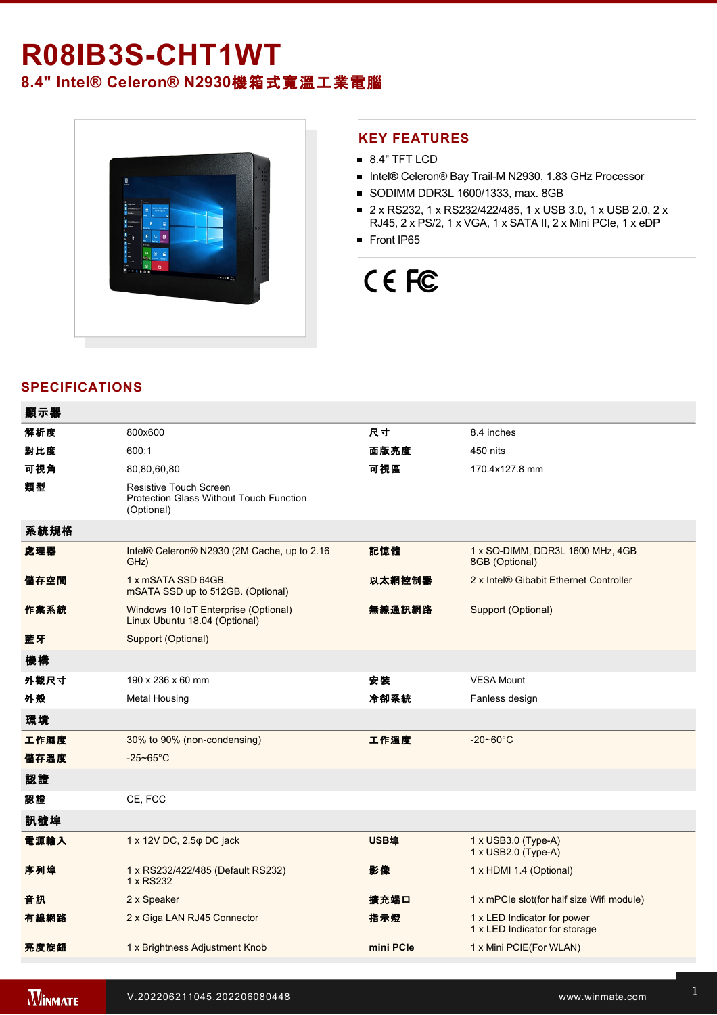# R08IB3S-CHT1WT

**8.4" Intel® Celeron® N2930**機箱式寬溫工業電腦



#### **KEY FEATURES**

- 8.4" TFT LCD
- Intel® Celeron® Bay Trail-M N2930, 1.83 GHz Processor
- SODIMM DDR3L 1600/1333, max. 8GB
- 2 x RS232, 1 x RS232/422/485, 1 x USB 3.0, 1 x USB 2.0, 2 x RJ45, 2 x PS/2, 1 x VGA, 1 x SATA II, 2 x Mini PCIe, 1 x eDP
- Front IP65

## CE FC

### **SPECIFICATIONS**

| 顯示器  |                                                                                 |           |                                                              |
|------|---------------------------------------------------------------------------------|-----------|--------------------------------------------------------------|
| 解析度  | 800x600                                                                         | 尺寸        | 8.4 inches                                                   |
| 對比度  | 600:1                                                                           | 面版亮度      | 450 nits                                                     |
| 可視角  | 80,80,60,80                                                                     | 可視區       | 170.4x127.8 mm                                               |
| 類型   | Resistive Touch Screen<br>Protection Glass Without Touch Function<br>(Optional) |           |                                                              |
| 系統規格 |                                                                                 |           |                                                              |
| 處理器  | Intel® Celeron® N2930 (2M Cache, up to 2.16<br>GHz)                             | 記憶體       | 1 x SO-DIMM, DDR3L 1600 MHz, 4GB<br>8GB (Optional)           |
| 儲存空間 | 1 x mSATA SSD 64GB.<br>mSATA SSD up to 512GB. (Optional)                        | 以太網控制器    | 2 x Intel® Gibabit Ethernet Controller                       |
| 作業系統 | Windows 10 IoT Enterprise (Optional)<br>Linux Ubuntu 18.04 (Optional)           | 無線通訊網路    | Support (Optional)                                           |
| 藍牙   | Support (Optional)                                                              |           |                                                              |
| 機構   |                                                                                 |           |                                                              |
| 外觀尺寸 | 190 x 236 x 60 mm                                                               | 安装        | <b>VESA Mount</b>                                            |
| 外殼   | <b>Metal Housing</b>                                                            | 冷卻系統      | Fanless design                                               |
| 環境   |                                                                                 |           |                                                              |
| 工作濕度 | 30% to 90% (non-condensing)                                                     | 工作溫度      | $-20 - 60^{\circ}C$                                          |
| 儲存溫度 | $-25 - 65^{\circ}$ C                                                            |           |                                                              |
| 認證   |                                                                                 |           |                                                              |
| 認證   | CE, FCC                                                                         |           |                                                              |
| 訊號埠  |                                                                                 |           |                                                              |
| 電源輸入 | 1 x 12V DC, 2.5 $\varphi$ DC jack                                               | USB埠      | 1 x USB3.0 (Type-A)<br>1 x USB2.0 (Type-A)                   |
| 序列埠  | 1 x RS232/422/485 (Default RS232)<br>1 x RS232                                  | 影像        | 1 x HDMI 1.4 (Optional)                                      |
| 音訊   | 2 x Speaker                                                                     | 擴充端口      | 1 x mPCle slot(for half size Wifi module)                    |
| 有線網路 | 2 x Giga LAN RJ45 Connector                                                     | 指示燈       | 1 x LED Indicator for power<br>1 x LED Indicator for storage |
| 亮度旋鈕 | 1 x Brightness Adjustment Knob                                                  | mini PCle | 1 x Mini PCIE(For WLAN)                                      |
|      |                                                                                 |           |                                                              |